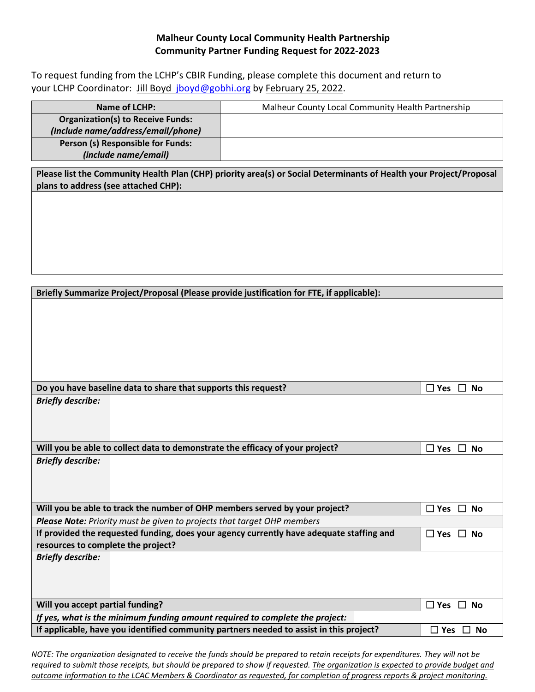## **Malheur County Local Community Health Partnership Community Partner Funding Request for 2022-2023**

To request funding from the LCHP's CBIR Funding, please complete this document and return to your LCHP Coordinator: [Jill Boyd jboyd@gobhi.org](mailto:santhony@neonoregon.org) by February 25, 2022.

| Name of LCHP:                            | Malheur County Local Community Health Partnership |
|------------------------------------------|---------------------------------------------------|
| <b>Organization(s) to Receive Funds:</b> |                                                   |
| (Include name/address/email/phone)       |                                                   |
| Person (s) Responsible for Funds:        |                                                   |
| (include name/email)                     |                                                   |

**Please list the Community Health Plan (CHP) priority area(s) or Social Determinants of Health your Project/Proposal plans to address (see attached CHP):** 

| Briefly Summarize Project/Proposal (Please provide justification for FTE, if applicable): |                                      |  |  |  |
|-------------------------------------------------------------------------------------------|--------------------------------------|--|--|--|
|                                                                                           |                                      |  |  |  |
|                                                                                           |                                      |  |  |  |
|                                                                                           |                                      |  |  |  |
|                                                                                           |                                      |  |  |  |
|                                                                                           |                                      |  |  |  |
|                                                                                           |                                      |  |  |  |
|                                                                                           |                                      |  |  |  |
| Do you have baseline data to share that supports this request?                            | $\Box$ Yes<br>$\perp$<br><b>No</b>   |  |  |  |
| <b>Briefly describe:</b>                                                                  |                                      |  |  |  |
|                                                                                           |                                      |  |  |  |
|                                                                                           |                                      |  |  |  |
|                                                                                           |                                      |  |  |  |
| Will you be able to collect data to demonstrate the efficacy of your project?             | $\Box$ Yes $\Box$ No                 |  |  |  |
| <b>Briefly describe:</b>                                                                  |                                      |  |  |  |
|                                                                                           |                                      |  |  |  |
|                                                                                           |                                      |  |  |  |
|                                                                                           |                                      |  |  |  |
| Will you be able to track the number of OHP members served by your project?               | $\Box$ Yes $\Box$ No                 |  |  |  |
| Please Note: Priority must be given to projects that target OHP members                   |                                      |  |  |  |
| If provided the requested funding, does your agency currently have adequate staffing and  | $\Box$ Yes $\Box$ No                 |  |  |  |
| resources to complete the project?                                                        |                                      |  |  |  |
| <b>Briefly describe:</b>                                                                  |                                      |  |  |  |
|                                                                                           |                                      |  |  |  |
|                                                                                           |                                      |  |  |  |
|                                                                                           |                                      |  |  |  |
| Will you accept partial funding?                                                          | $\Box$ Yes<br>$\Box$<br><b>No</b>    |  |  |  |
| If yes, what is the minimum funding amount required to complete the project:              |                                      |  |  |  |
| If applicable, have you identified community partners needed to assist in this project?   | <b>No</b><br>$\square$ Yes<br>$\Box$ |  |  |  |

*NOTE: The organization designated to receive the funds should be prepared to retain receipts for expenditures. They will not be required to submit those receipts, but should be prepared to show if requested. The organization is expected to provide budget and outcome information to the LCAC Members & Coordinator as requested, for completion of progress reports & project monitoring.*